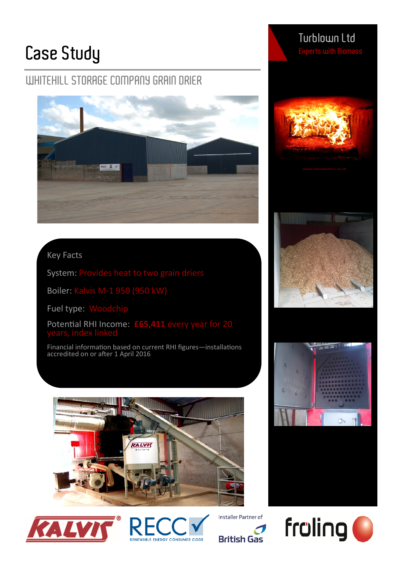# **Case Study**

## **WHITEHILL STORAGE COMPANY GRAIN DRIER**



### Key Facts

System: Provides heat to two grain driers

Boiler: Kalvis M-1 950 (950 kW)

Fuel type: Woodchip

Potential RHI Income: **£65,411** every year for 20

Financial information based on current RHI figures—installations accredited on or after 1 April 2016